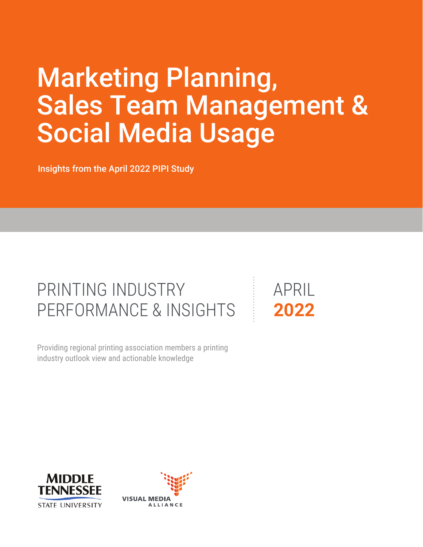# Marketing Planning, Sales Team Management & Social Media Usage

Insights from the April 2022 PIPI Study

## PRINTING INDUSTRY PERFORMANCE & INSIGHTS

industry outlook view and actionable knowledge Providing regional printing association members a printing APRIL **2022**



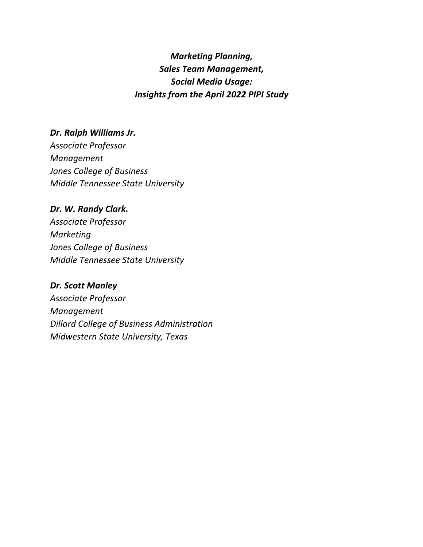#### *Marketing Planning, Sales Team Management, Social Media Usage: Insights from the April 2022 PIPI Study*

#### *Dr. Ralph Williams Jr.*

*Associate Professor Management Jones College of Business Middle Tennessee State University* 

#### *Dr. W. Randy Clark.*

*Associate Professor Marketing Jones College of Business Middle Tennessee State University* 

#### *Dr. Scott Manley*

*Associate Professor Management Dillard College of Business Administration Midwestern State University, Texas*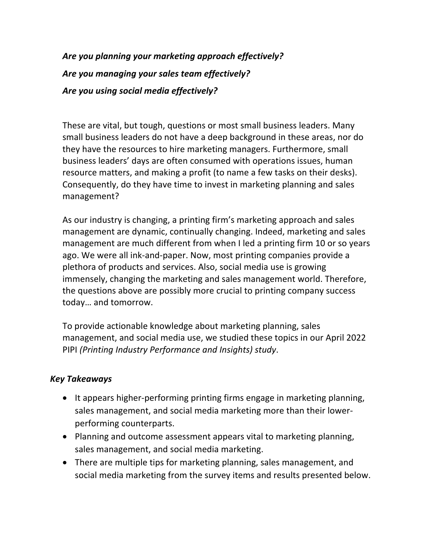### *Are you planning your marketing approach effectively? Are you managing your sales team effectively? Are you using social media effectively?*

These are vital, but tough, questions or most small business leaders. Many small business leaders do not have a deep background in these areas, nor do they have the resources to hire marketing managers. Furthermore, small business leaders' days are often consumed with operations issues, human resource matters, and making a profit (to name a few tasks on their desks). Consequently, do they have time to invest in marketing planning and sales management?

As our industry is changing, a printing firm's marketing approach and sales management are dynamic, continually changing. Indeed, marketing and sales management are much different from when I led a printing firm 10 or so years ago. We were all ink-and-paper. Now, most printing companies provide a plethora of products and services. Also, social media use is growing immensely, changing the marketing and sales management world. Therefore, the questions above are possibly more crucial to printing company success today… and tomorrow.

To provide actionable knowledge about marketing planning, sales management, and social media use, we studied these topics in our April 2022 PIPI *(Printing Industry Performance and Insights) study*.

#### *Key Takeaways*

- It appears higher-performing printing firms engage in marketing planning, sales management, and social media marketing more than their lowerperforming counterparts.
- Planning and outcome assessment appears vital to marketing planning, sales management, and social media marketing.
- There are multiple tips for marketing planning, sales management, and social media marketing from the survey items and results presented below.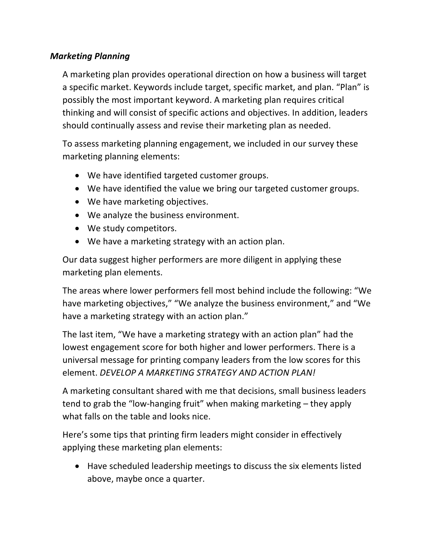#### *Marketing Planning*

A marketing plan provides operational direction on how a business will target a specific market. Keywords include target, specific market, and plan. "Plan" is possibly the most important keyword. A marketing plan requires critical thinking and will consist of specific actions and objectives. In addition, leaders should continually assess and revise their marketing plan as needed.

To assess marketing planning engagement, we included in our survey these marketing planning elements:

- We have identified targeted customer groups.
- We have identified the value we bring our targeted customer groups.
- We have marketing objectives.
- We analyze the business environment.
- We study competitors.
- We have a marketing strategy with an action plan.

Our data suggest higher performers are more diligent in applying these marketing plan elements.

The areas where lower performers fell most behind include the following: "We have marketing objectives," "We analyze the business environment," and "We have a marketing strategy with an action plan."

The last item, "We have a marketing strategy with an action plan" had the lowest engagement score for both higher and lower performers. There is a universal message for printing company leaders from the low scores for this element. *DEVELOP A MARKETING STRATEGY AND ACTION PLAN!*

A marketing consultant shared with me that decisions, small business leaders tend to grab the "low-hanging fruit" when making marketing – they apply what falls on the table and looks nice.

Here's some tips that printing firm leaders might consider in effectively applying these marketing plan elements:

• Have scheduled leadership meetings to discuss the six elements listed above, maybe once a quarter.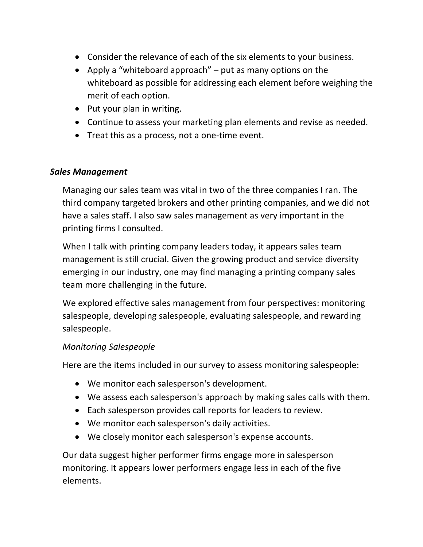- Consider the relevance of each of the six elements to your business.
- Apply a "whiteboard approach" put as many options on the whiteboard as possible for addressing each element before weighing the merit of each option.
- Put your plan in writing.
- Continue to assess your marketing plan elements and revise as needed.
- Treat this as a process, not a one-time event.

#### *Sales Management*

Managing our sales team was vital in two of the three companies I ran. The third company targeted brokers and other printing companies, and we did not have a sales staff. I also saw sales management as very important in the printing firms I consulted.

When I talk with printing company leaders today, it appears sales team management is still crucial. Given the growing product and service diversity emerging in our industry, one may find managing a printing company sales team more challenging in the future.

We explored effective sales management from four perspectives: monitoring salespeople, developing salespeople, evaluating salespeople, and rewarding salespeople.

#### *Monitoring Salespeople*

Here are the items included in our survey to assess monitoring salespeople:

- We monitor each salesperson's development.
- We assess each salesperson's approach by making sales calls with them.
- Each salesperson provides call reports for leaders to review.
- We monitor each salesperson's daily activities.
- We closely monitor each salesperson's expense accounts.

Our data suggest higher performer firms engage more in salesperson monitoring. It appears lower performers engage less in each of the five elements.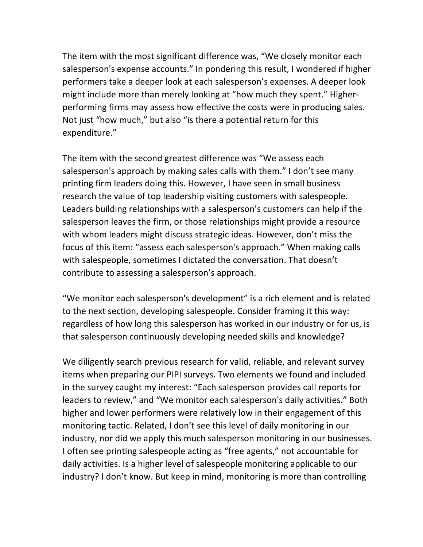The item with the most significant difference was, "We closely monitor each salesperson's expense accounts." In pondering this result, I wondered if higher performers take a deeper look at each salesperson's expenses. A deeper look might include more than merely looking at "how much they spent." Higherperforming firms may assess how effective the costs were in producing sales. Not just "how much," but also "is there a potential return for this expenditure."

The item with the second greatest difference was "We assess each salesperson's approach by making sales calls with them." I don't see many printing firm leaders doing this. However, I have seen in small business research the value of top leadership visiting customers with salespeople. Leaders building relationships with a salesperson's customers can help if the salesperson leaves the firm, or those relationships might provide a resource with whom leaders might discuss strategic ideas. However, don't miss the focus of this item: "assess each salesperson's approach." When making calls with salespeople, sometimes I dictated the conversation. That doesn't contribute to assessing a salesperson's approach.

"We monitor each salesperson's development" is a rich element and is related to the next section, developing salespeople. Consider framing it this way: regardless of how long this salesperson has worked in our industry or for us, is that salesperson continuously developing needed skills and knowledge?

We diligently search previous research for valid, reliable, and relevant survey items when preparing our PIPI surveys. Two elements we found and included in the survey caught my interest: "Each salesperson provides call reports for leaders to review," and "We monitor each salesperson's daily activities." Both higher and lower performers were relatively low in their engagement of this monitoring tactic. Related, I don't see this level of daily monitoring in our industry, nor did we apply this much salesperson monitoring in our businesses. I often see printing salespeople acting as "free agents," not accountable for daily activities. Is a higher level of salespeople monitoring applicable to our industry? I don't know. But keep in mind, monitoring is more than controlling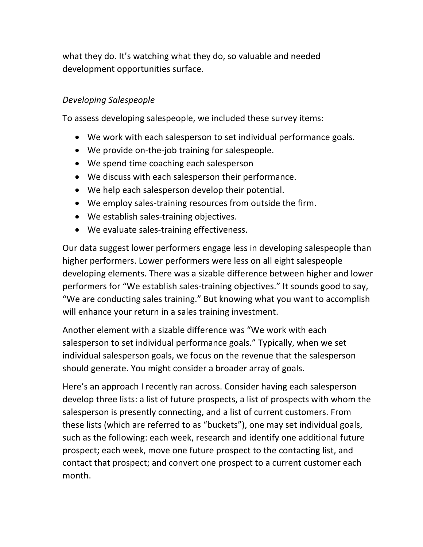what they do. It's watching what they do, so valuable and needed development opportunities surface.

#### *Developing Salespeople*

To assess developing salespeople, we included these survey items:

- We work with each salesperson to set individual performance goals.
- We provide on-the-job training for salespeople.
- We spend time coaching each salesperson
- We discuss with each salesperson their performance.
- We help each salesperson develop their potential.
- We employ sales-training resources from outside the firm.
- We establish sales-training objectives.
- We evaluate sales-training effectiveness.

Our data suggest lower performers engage less in developing salespeople than higher performers. Lower performers were less on all eight salespeople developing elements. There was a sizable difference between higher and lower performers for "We establish sales-training objectives." It sounds good to say, "We are conducting sales training." But knowing what you want to accomplish will enhance your return in a sales training investment.

Another element with a sizable difference was "We work with each salesperson to set individual performance goals." Typically, when we set individual salesperson goals, we focus on the revenue that the salesperson should generate. You might consider a broader array of goals.

Here's an approach I recently ran across. Consider having each salesperson develop three lists: a list of future prospects, a list of prospects with whom the salesperson is presently connecting, and a list of current customers. From these lists (which are referred to as "buckets"), one may set individual goals, such as the following: each week, research and identify one additional future prospect; each week, move one future prospect to the contacting list, and contact that prospect; and convert one prospect to a current customer each month.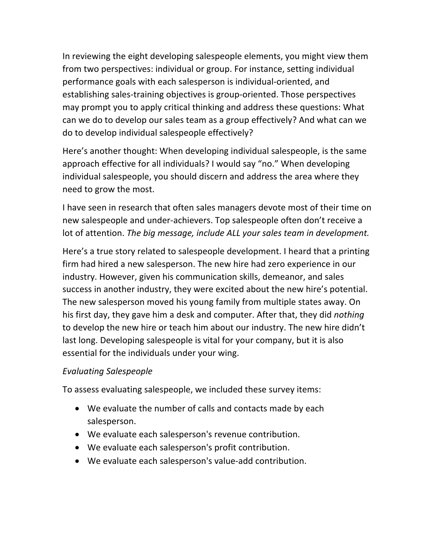In reviewing the eight developing salespeople elements, you might view them from two perspectives: individual or group. For instance, setting individual performance goals with each salesperson is individual-oriented, and establishing sales-training objectives is group-oriented. Those perspectives may prompt you to apply critical thinking and address these questions: What can we do to develop our sales team as a group effectively? And what can we do to develop individual salespeople effectively?

Here's another thought: When developing individual salespeople, is the same approach effective for all individuals? I would say "no." When developing individual salespeople, you should discern and address the area where they need to grow the most.

I have seen in research that often sales managers devote most of their time on new salespeople and under-achievers. Top salespeople often don't receive a lot of attention. *The big message, include ALL your sales team in development.*

Here's a true story related to salespeople development. I heard that a printing firm had hired a new salesperson. The new hire had zero experience in our industry. However, given his communication skills, demeanor, and sales success in another industry, they were excited about the new hire's potential. The new salesperson moved his young family from multiple states away. On his first day, they gave him a desk and computer. After that, they did *nothing* to develop the new hire or teach him about our industry. The new hire didn't last long. Developing salespeople is vital for your company, but it is also essential for the individuals under your wing.

#### *Evaluating Salespeople*

To assess evaluating salespeople, we included these survey items:

- We evaluate the number of calls and contacts made by each salesperson.
- We evaluate each salesperson's revenue contribution.
- We evaluate each salesperson's profit contribution.
- We evaluate each salesperson's value-add contribution.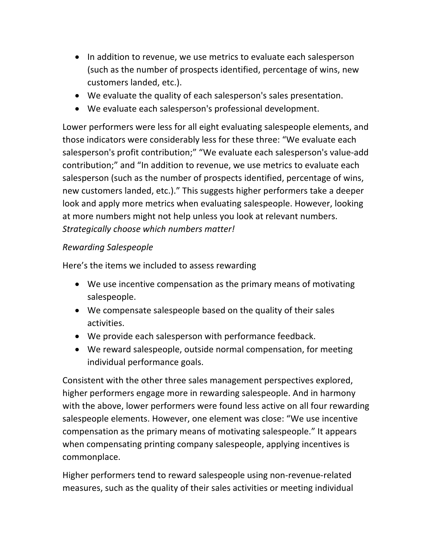- In addition to revenue, we use metrics to evaluate each salesperson (such as the number of prospects identified, percentage of wins, new customers landed, etc.).
- We evaluate the quality of each salesperson's sales presentation.
- We evaluate each salesperson's professional development.

Lower performers were less for all eight evaluating salespeople elements, and those indicators were considerably less for these three: "We evaluate each salesperson's profit contribution;" "We evaluate each salesperson's value-add contribution;" and "In addition to revenue, we use metrics to evaluate each salesperson (such as the number of prospects identified, percentage of wins, new customers landed, etc.)." This suggests higher performers take a deeper look and apply more metrics when evaluating salespeople. However, looking at more numbers might not help unless you look at relevant numbers. *Strategically choose which numbers matter!*

#### *Rewarding Salespeople*

Here's the items we included to assess rewarding

- We use incentive compensation as the primary means of motivating salespeople.
- We compensate salespeople based on the quality of their sales activities.
- We provide each salesperson with performance feedback.
- We reward salespeople, outside normal compensation, for meeting individual performance goals.

Consistent with the other three sales management perspectives explored, higher performers engage more in rewarding salespeople. And in harmony with the above, lower performers were found less active on all four rewarding salespeople elements. However, one element was close: "We use incentive compensation as the primary means of motivating salespeople." It appears when compensating printing company salespeople, applying incentives is commonplace.

Higher performers tend to reward salespeople using non-revenue-related measures, such as the quality of their sales activities or meeting individual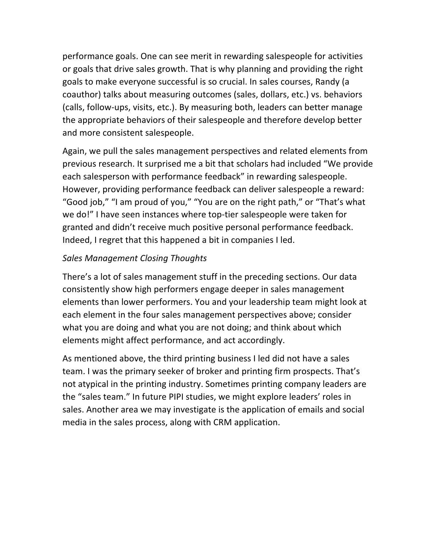performance goals. One can see merit in rewarding salespeople for activities or goals that drive sales growth. That is why planning and providing the right goals to make everyone successful is so crucial. In sales courses, Randy (a coauthor) talks about measuring outcomes (sales, dollars, etc.) vs. behaviors (calls, follow-ups, visits, etc.). By measuring both, leaders can better manage the appropriate behaviors of their salespeople and therefore develop better and more consistent salespeople.

Again, we pull the sales management perspectives and related elements from previous research. It surprised me a bit that scholars had included "We provide each salesperson with performance feedback" in rewarding salespeople. However, providing performance feedback can deliver salespeople a reward: "Good job," "I am proud of you," "You are on the right path," or "That's what we do!" I have seen instances where top-tier salespeople were taken for granted and didn't receive much positive personal performance feedback. Indeed, I regret that this happened a bit in companies I led.

#### *Sales Management Closing Thoughts*

There's a lot of sales management stuff in the preceding sections. Our data consistently show high performers engage deeper in sales management elements than lower performers. You and your leadership team might look at each element in the four sales management perspectives above; consider what you are doing and what you are not doing; and think about which elements might affect performance, and act accordingly.

As mentioned above, the third printing business I led did not have a sales team. I was the primary seeker of broker and printing firm prospects. That's not atypical in the printing industry. Sometimes printing company leaders are the "sales team." In future PIPI studies, we might explore leaders' roles in sales. Another area we may investigate is the application of emails and social media in the sales process, along with CRM application.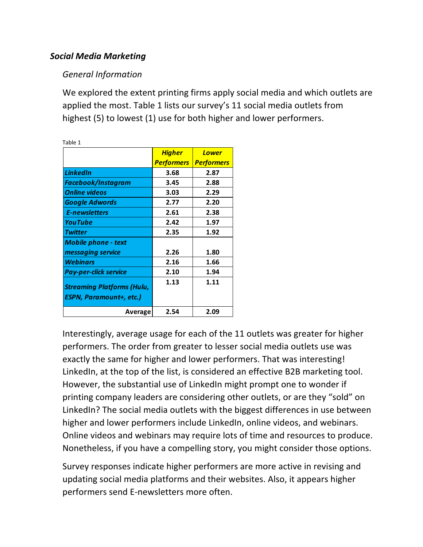#### *Social Media Marketing*

#### *General Information*

We explored the extent printing firms apply social media and which outlets are applied the most. Table 1 lists our survey's 11 social media outlets from highest (5) to lowest (1) use for both higher and lower performers.

| Table 1                                                      |                   |                   |
|--------------------------------------------------------------|-------------------|-------------------|
|                                                              | <u>Higher</u>     | <b>Lower</b>      |
|                                                              | <b>Performers</b> | <b>Performers</b> |
| <b>LinkedIn</b>                                              | 3.68              | 2.87              |
| Facebook/Instagram                                           | 3.45              | 2.88              |
| <b>Online videos</b>                                         | 3.03              | 2.29              |
| <b>Google Adwords</b>                                        | 2.77              | 2.20              |
| <b>E-newsletters</b>                                         | 2.61              | 2.38              |
| <b>YouTube</b>                                               | 2.42              | 1.97              |
| <b>Twitter</b>                                               | 2.35              | 1.92              |
| Mobile phone - text                                          |                   |                   |
| messaging service                                            | 2.26              | 1.80              |
| <b>Webinars</b>                                              | 2.16              | 1.66              |
| <b>Pay-per-click service</b>                                 | 2.10              | 1.94              |
| <b>Streaming Platforms (Hulu,</b><br>ESPN, Paramount+, etc.) | 1.13              | 1.11              |
| Average                                                      | 2.54              | 2.09              |

Interestingly, average usage for each of the 11 outlets was greater for higher performers. The order from greater to lesser social media outlets use was exactly the same for higher and lower performers. That was interesting! LinkedIn, at the top of the list, is considered an effective B2B marketing tool. However, the substantial use of LinkedIn might prompt one to wonder if printing company leaders are considering other outlets, or are they "sold" on LinkedIn? The social media outlets with the biggest differences in use between higher and lower performers include LinkedIn, online videos, and webinars. Online videos and webinars may require lots of time and resources to produce. Nonetheless, if you have a compelling story, you might consider those options.

Survey responses indicate higher performers are more active in revising and updating social media platforms and their websites. Also, it appears higher performers send E-newsletters more often.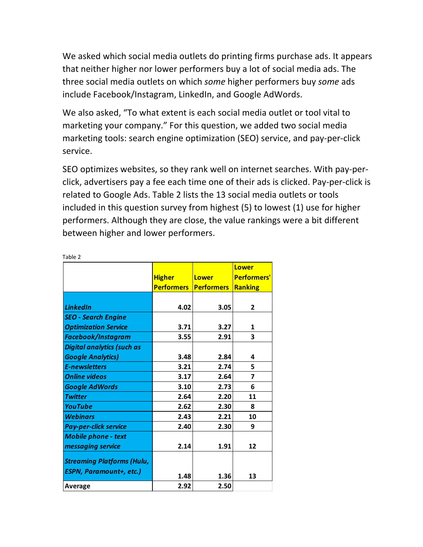We asked which social media outlets do printing firms purchase ads. It appears that neither higher nor lower performers buy a lot of social media ads. The three social media outlets on which *some* higher performers buy *some* ads include Facebook/Instagram, LinkedIn, and Google AdWords.

We also asked, "To what extent is each social media outlet or tool vital to marketing your company." For this question, we added two social media marketing tools: search engine optimization (SEO) service, and pay-per-click service.

SEO optimizes websites, so they rank well on internet searches. With pay-perclick, advertisers pay a fee each time one of their ads is clicked. Pay-per-click is related to Google Ads. Table 2 lists the 13 social media outlets or tools included in this question survey from highest (5) to lowest (1) use for higher performers. Although they are close, the value rankings were a bit different between higher and lower performers.

|                                   |                   |                   | <b>Lower</b>       |
|-----------------------------------|-------------------|-------------------|--------------------|
|                                   | <b>Higher</b>     | <b>Lower</b>      | <b>Performers'</b> |
|                                   | <b>Performers</b> | <b>Performers</b> | <b>Ranking</b>     |
|                                   |                   |                   |                    |
| <b>LinkedIn</b>                   | 4.02              | 3.05              | $\overline{2}$     |
| <b>SEO - Search Engine</b>        |                   |                   |                    |
| <b>Optimization Service</b>       | 3.71              | 3.27              | 1                  |
| Facebook/Instagram                | 3.55              | 2.91              | 3                  |
| <b>Digital analytics (such as</b> |                   |                   |                    |
| <b>Google Analytics)</b>          | 3.48              | 2.84              | 4                  |
| <b>E-newsletters</b>              | 3.21              | 2.74              | 5.                 |
| <b>Online videos</b>              | 3.17              | 2.64              | 7                  |
| <b>Google AdWords</b>             | 3.10              | 2.73              | 6                  |
| <b>Twitter</b>                    | 2.64              | 2.20              | 11                 |
| <b>YouTube</b>                    | 2.62              | 2.30              | 8                  |
| <b>Webinars</b>                   | 2.43              | 2.21              | 10                 |
| <b>Pay-per-click service</b>      | 2.40              | 2.30              | 9                  |
| <b>Mobile phone - text</b>        |                   |                   |                    |
| messaging service                 | 2.14              | 1.91              | 12                 |
|                                   |                   |                   |                    |
| <b>Streaming Platforms (Hulu,</b> |                   |                   |                    |
| <b>ESPN, Paramount+, etc.)</b>    | 1.48              | 1.36              | 13                 |
| <b>Average</b>                    | 2.92              | 2.50              |                    |

Table 2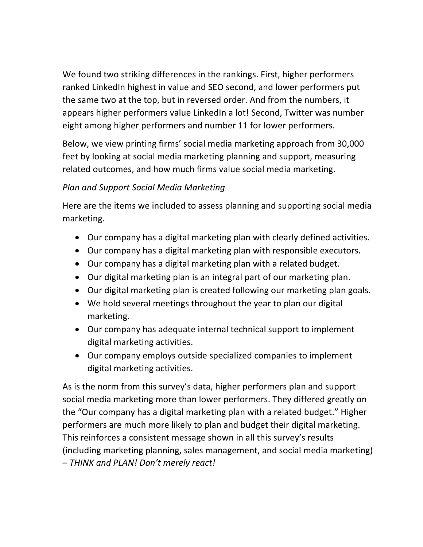We found two striking differences in the rankings. First, higher performers ranked LinkedIn highest in value and SEO second, and lower performers put the same two at the top, but in reversed order. And from the numbers, it appears higher performers value LinkedIn a lot! Second, Twitter was number eight among higher performers and number 11 for lower performers.

Below, we view printing firms' social media marketing approach from 30,000 feet by looking at social media marketing planning and support, measuring related outcomes, and how much firms value social media marketing.

#### *Plan and Support Social Media Marketing*

Here are the items we included to assess planning and supporting social media marketing.

- Our company has a digital marketing plan with clearly defined activities.
- Our company has a digital marketing plan with responsible executors.
- Our company has a digital marketing plan with a related budget.
- Our digital marketing plan is an integral part of our marketing plan.
- Our digital marketing plan is created following our marketing plan goals.
- We hold several meetings throughout the year to plan our digital marketing.
- Our company has adequate internal technical support to implement digital marketing activities.
- Our company employs outside specialized companies to implement digital marketing activities.

As is the norm from this survey's data, higher performers plan and support social media marketing more than lower performers. They differed greatly on the "Our company has a digital marketing plan with a related budget." Higher performers are much more likely to plan and budget their digital marketing. This reinforces a consistent message shown in all this survey's results (including marketing planning, sales management, and social media marketing) – *THINK and PLAN! Don't merely react!*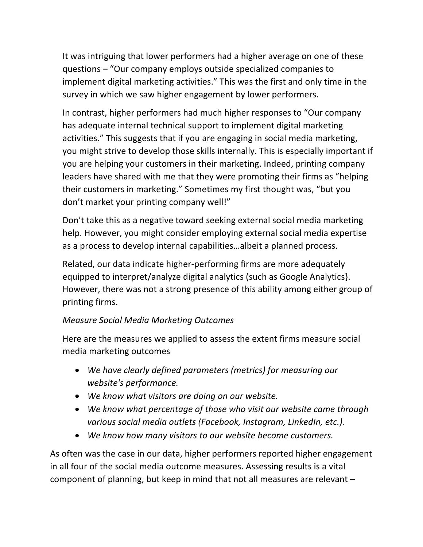It was intriguing that lower performers had a higher average on one of these questions – "Our company employs outside specialized companies to implement digital marketing activities." This was the first and only time in the survey in which we saw higher engagement by lower performers.

In contrast, higher performers had much higher responses to "Our company has adequate internal technical support to implement digital marketing activities." This suggests that if you are engaging in social media marketing, you might strive to develop those skills internally. This is especially important if you are helping your customers in their marketing. Indeed, printing company leaders have shared with me that they were promoting their firms as "helping their customers in marketing." Sometimes my first thought was, "but you don't market your printing company well!"

Don't take this as a negative toward seeking external social media marketing help. However, you might consider employing external social media expertise as a process to develop internal capabilities…albeit a planned process.

Related, our data indicate higher-performing firms are more adequately equipped to interpret/analyze digital analytics (such as Google Analytics}. However, there was not a strong presence of this ability among either group of printing firms.

#### *Measure Social Media Marketing Outcomes*

Here are the measures we applied to assess the extent firms measure social media marketing outcomes

- *We have clearly defined parameters (metrics) for measuring our website's performance.*
- *We know what visitors are doing on our website.*
- *We know what percentage of those who visit our website came through various social media outlets (Facebook, Instagram, LinkedIn, etc.).*
- *We know how many visitors to our website become customers.*

As often was the case in our data, higher performers reported higher engagement in all four of the social media outcome measures. Assessing results is a vital component of planning, but keep in mind that not all measures are relevant –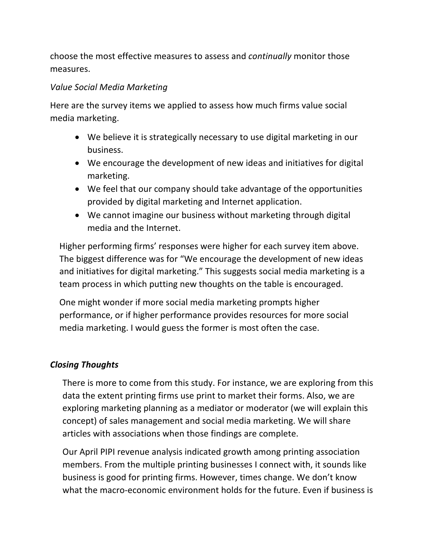choose the most effective measures to assess and *continually* monitor those measures.

#### *Value Social Media Marketing*

Here are the survey items we applied to assess how much firms value social media marketing.

- We believe it is strategically necessary to use digital marketing in our business.
- We encourage the development of new ideas and initiatives for digital marketing.
- We feel that our company should take advantage of the opportunities provided by digital marketing and Internet application.
- We cannot imagine our business without marketing through digital media and the Internet.

Higher performing firms' responses were higher for each survey item above. The biggest difference was for "We encourage the development of new ideas and initiatives for digital marketing." This suggests social media marketing is a team process in which putting new thoughts on the table is encouraged.

One might wonder if more social media marketing prompts higher performance, or if higher performance provides resources for more social media marketing. I would guess the former is most often the case.

#### *Closing Thoughts*

There is more to come from this study. For instance, we are exploring from this data the extent printing firms use print to market their forms. Also, we are exploring marketing planning as a mediator or moderator (we will explain this concept) of sales management and social media marketing. We will share articles with associations when those findings are complete.

Our April PIPI revenue analysis indicated growth among printing association members. From the multiple printing businesses I connect with, it sounds like business is good for printing firms. However, times change. We don't know what the macro-economic environment holds for the future. Even if business is